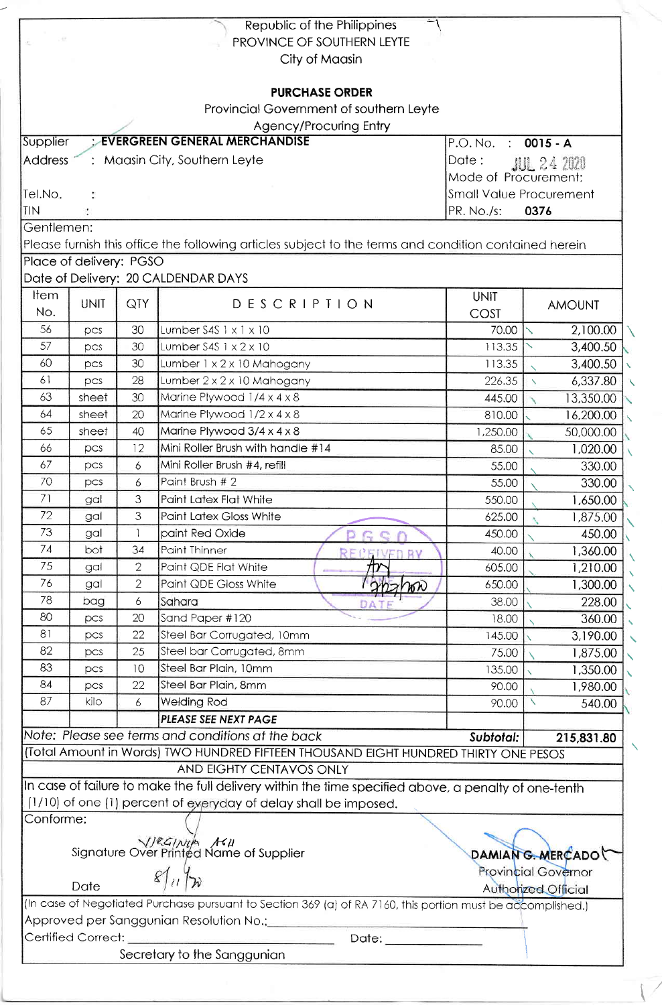|                                    |                         |                | Republic of the Philippines                                                                                                                              |                      |                          |  |  |
|------------------------------------|-------------------------|----------------|----------------------------------------------------------------------------------------------------------------------------------------------------------|----------------------|--------------------------|--|--|
|                                    |                         |                | PROVINCE OF SOUTHERN LEYTE                                                                                                                               |                      |                          |  |  |
|                                    |                         |                | City of Maasin                                                                                                                                           |                      |                          |  |  |
|                                    |                         |                |                                                                                                                                                          |                      |                          |  |  |
|                                    |                         |                | <b>PURCHASE ORDER</b>                                                                                                                                    |                      |                          |  |  |
|                                    |                         |                | Provincial Government of southern Leyte                                                                                                                  |                      |                          |  |  |
| Supplier                           |                         |                | Agency/Procuring Entry<br><b>EVERGREEN GENERAL MERCHANDISE</b>                                                                                           |                      |                          |  |  |
|                                    |                         |                |                                                                                                                                                          | P.O. No. : 0015 - A  |                          |  |  |
| <b>Address</b>                     |                         |                | : Maasin City, Southern Leyte                                                                                                                            | Date:                | <b>JUL 24 2020</b>       |  |  |
|                                    |                         |                |                                                                                                                                                          | Mode of Procurement: |                          |  |  |
| Tel.No.<br>TIN                     |                         |                | <b>Small Value Procurement</b>                                                                                                                           | 0376                 |                          |  |  |
| Gentlemen:                         |                         |                |                                                                                                                                                          | PR. No./s:           |                          |  |  |
|                                    |                         |                |                                                                                                                                                          |                      |                          |  |  |
|                                    |                         |                | Please furnish this office the following articles subject to the terms and condition contained herein                                                    |                      |                          |  |  |
|                                    | Place of delivery: PGSO |                |                                                                                                                                                          |                      |                          |  |  |
|                                    |                         |                | Date of Delivery: 20 CALDENDAR DAYS                                                                                                                      |                      |                          |  |  |
| Item                               | <b>UNIT</b>             | QTY            | <b>DESCRIPTION</b>                                                                                                                                       | <b>UNIT</b>          | <b>AMOUNT</b>            |  |  |
| No.                                |                         |                |                                                                                                                                                          | COST                 |                          |  |  |
| 56                                 | PCS                     | 30             | Lumber $S4S$ $1 \times 1 \times 10$                                                                                                                      | 70.00                | 2,100.00<br>$\checkmark$ |  |  |
| 57                                 | pcs                     | 30             | Lumber $S4S$ 1 $\times$ 2 $\times$ 10                                                                                                                    | 113.35               | 3,400.50                 |  |  |
| 60                                 | pcs                     | 30             | Lumber 1 x 2 x 10 Mahogany                                                                                                                               | 113.35               | 3,400.50                 |  |  |
| 61                                 | pcs                     | 28             | Lumber 2 x 2 x 10 Mahogany                                                                                                                               | 226.35               | 6,337.80<br>$\mathbf{N}$ |  |  |
| 63                                 | sheet                   | 30             | Marine Plywood 1/4 x 4 x 8                                                                                                                               | 445.00               | 13,350.00                |  |  |
| 64                                 | sheet                   | 20             | Marine Plywood 1/2 x 4 x 8                                                                                                                               | 810.00               | 16,200.00                |  |  |
| 65                                 | sheet                   | 40             | Marine Plywood 3/4 x 4 x 8                                                                                                                               | 1,250.00             | 50,000.00                |  |  |
| 66                                 | pcs                     | 12             | Mini Roller Brush with handle #14                                                                                                                        | 85.00                | 1,020.00                 |  |  |
| 67                                 | pcs                     | 6              | Mini Roller Brush #4, refill                                                                                                                             | 55.00                | 330.00                   |  |  |
| 70                                 | DCS                     | 6              | Paint Brush # 2                                                                                                                                          | 55.00                | 330.00                   |  |  |
| 71                                 | gal                     | 3              | Paint Latex Flat White                                                                                                                                   | 550.00               | 1,650.00                 |  |  |
| 72                                 | gal                     | 3              | <b>Paint Latex Gloss White</b>                                                                                                                           | 625.00               | 1,875.00                 |  |  |
| 73                                 | gal                     |                | paint Red Oxide<br>$\mathsf{D}$<br>$F \subseteq$                                                                                                         | 450.00               | 450.00                   |  |  |
| 74                                 | bot                     | 34             | Paint Thinner<br><b>RECEIVED BY</b>                                                                                                                      | 40.00                | 1,360.00                 |  |  |
| 75                                 | gal                     | $\overline{2}$ | Paint QDE Flat White                                                                                                                                     | 605.00               | 1,210.00                 |  |  |
| 76                                 | gal                     | 2              | Paint QDE Gloss White<br>22700                                                                                                                           | 650.00               | 1,300.00                 |  |  |
| 78                                 | bag                     | 6              | Sahara                                                                                                                                                   | 38.00                | 228.00                   |  |  |
| 80                                 | PCS                     | 20             | Sand Paper #120                                                                                                                                          | 18.00                | 360.00                   |  |  |
| 81                                 | DCS                     | 22             | Steel Bar Corrugated, 10mm                                                                                                                               | 145.00               | 3,190.00                 |  |  |
| 82                                 | pcs                     | 25             | Steel bar Corrugated, 8mm                                                                                                                                | 75.00                | 1,875.00                 |  |  |
| 83                                 | pcs                     | 10             | Steel Bar Plain, 10mm                                                                                                                                    | 135.00               | 1,350.00                 |  |  |
| 84                                 | pcs                     | 22             | Steel Bar Plain, 8mm                                                                                                                                     | 90.00                | 1,980.00                 |  |  |
| 87                                 | kilo                    | 6              | <b>Welding Rod</b>                                                                                                                                       | 90.00                | 540.00                   |  |  |
|                                    |                         |                | PLEASE SEE NEXT PAGE                                                                                                                                     |                      |                          |  |  |
|                                    |                         |                | Note: Please see terms and conditions at the back                                                                                                        | Subtotal:            | 215,831.80               |  |  |
|                                    |                         |                | (Total Amount in Words) TWO HUNDRED FIFTEEN THOUSAND EIGHT HUNDRED THIRTY ONE PESOS                                                                      |                      |                          |  |  |
|                                    |                         |                | AND EIGHTY CENTAVOS ONLY                                                                                                                                 |                      |                          |  |  |
|                                    |                         |                | In case of failure to make the full delivery within the time specified above, a penalty of one-tenth                                                     |                      |                          |  |  |
|                                    |                         |                | (1/10) of one (1) percent of eyeryday of delay shall be imposed.                                                                                         |                      |                          |  |  |
| Conforme:                          |                         |                |                                                                                                                                                          |                      |                          |  |  |
|                                    |                         |                |                                                                                                                                                          |                      |                          |  |  |
|                                    |                         |                | V/2G/wild Asulty of Supplier<br>Signature Over Printed Name of Supplier                                                                                  |                      | DAMIANG. MERCADO         |  |  |
|                                    |                         |                |                                                                                                                                                          |                      |                          |  |  |
| <b>Provincial Governor</b><br>Date |                         |                |                                                                                                                                                          |                      |                          |  |  |
|                                    |                         |                |                                                                                                                                                          |                      | Authorized Official      |  |  |
|                                    |                         |                | (In case of Negotiated Purchase pursuant to Section 369 (a) of RA 7160, this portion must be accomplished.)<br>Approved per Sanggunian Resolution No.:__ |                      |                          |  |  |
|                                    |                         |                |                                                                                                                                                          |                      |                          |  |  |
|                                    |                         |                |                                                                                                                                                          |                      |                          |  |  |
|                                    | Certified Correct:      |                | Date: _________<br>Secretary to the Sanggunian                                                                                                           |                      |                          |  |  |